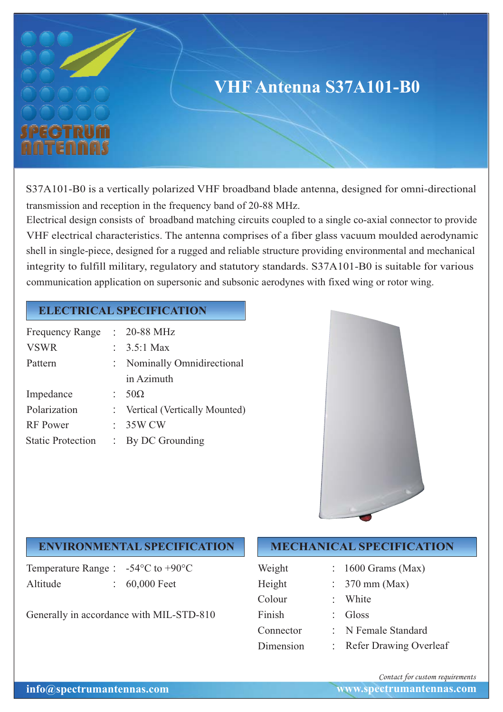

S37A101-B0 is a vertically polarized VHF broadband blade antenna, designed for omni-directional transmission and reception in the frequency band of 20-88 MHz.

Electrical design consists of broadband matching circuits coupled to a single co-axial connector to provide VHF electrical characteristics. The antenna comprises of a fiber glass vacuum moulded aerodynamic shell in single-piece, designed for a rugged and reliable structure providing environmental and mechanical integrity to fulfill military, regulatory and statutory standards. S37A101-B0 is suitable for various communication application on supersonic and subsonic aerodynes with fixed wing or rotor wing.

## **ELECTRICAL SPECIFICATION**

| <b>Frequency Range</b>   | $: 20-88$ MHz                   |
|--------------------------|---------------------------------|
| <b>VSWR</b>              | : $3.5:1$ Max                   |
| Pattern                  | Nominally Omnidirectional       |
|                          | in Azimuth                      |
| Impedance                | $50\Omega$                      |
| Polarization             | : Vertical (Vertically Mounted) |
| <b>RF</b> Power          | 35W CW                          |
| <b>Static Protection</b> | By DC Grounding                 |



## **ENVIRONMENTAL SPECIFICATION**

Temperature Range :  $-54^{\circ}$ C to  $+90^{\circ}$ C Altitude : 60,000 Feet

Generally in accordance with MIL-STD-810

## **MECHANICAL SPECIFICATION**

| Weight    | $: 1600$ Grams (Max)      |
|-----------|---------------------------|
| Height    | $\therefore$ 370 mm (Max) |
| Colour    | : White                   |
| Finish    | $\therefore$ Gloss        |
| Connector | : N Female Standard       |
| Dimension | Refer Drawing Overleaf    |

*Contact for custom requirements*